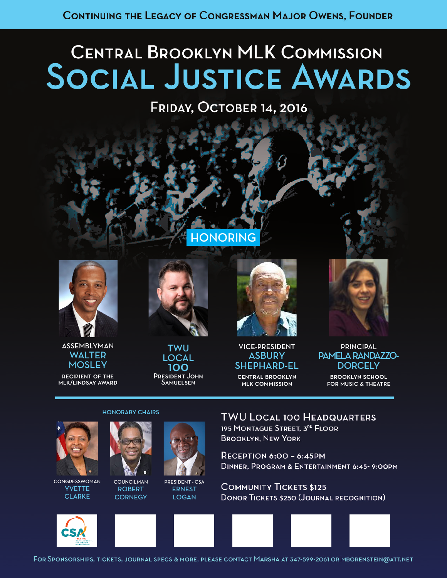# **CENTRAL BROOKLYN MLK COMMISSION SOCIAL JUSTICE AWARDS**

# FRIDAY, OCTOBER 14, 2016

## *Congratulates you on*  HONORING



*New York State Assemblyman*

ASSEMBLYMAN **WALTER MOSLEY** 

recipient of the mlk/lindsay award



TWU LOCAL 100 President John Samuelsen



VICE-PRESIDENT **ASBURY** SHEPHARD-EL central brooklyn

mlk commission



**PRINCIPAL** PAMELA RANDAZZO-**DORCELY** 

> brooklyn school for music & theatre

#### HONORARY CHAIRS



**CONGRESSWOMAN** YVETTE **CLARKE** 



COUNCILMAN ROBERT **CORNEGY** 

PRESIDENT - CSA

## ERNEST **LOGAN**

# **TWU LOCAL 100 HEADQUARTERS**

195 MONTAGUE STREET. 3RD FLOOR **BROOKLYN, NEW YORK** 

**RECEPTION 6:00 - 6:45PM** DINNER, PROGRAM & ENTERTAINMENT 6:45-9:00PM

**COMMUNITY TICKETS \$125 DONOR TICKETS \$250 (JOURNAL RECOGNITION)** 



FOR SPONSORSHIPS, TICKETS, JOURNAL SPECS & MORE, PLEASE CONTACT MARSHA AT 347-599-2061 OR MBORENSTEIN@ATT.NET